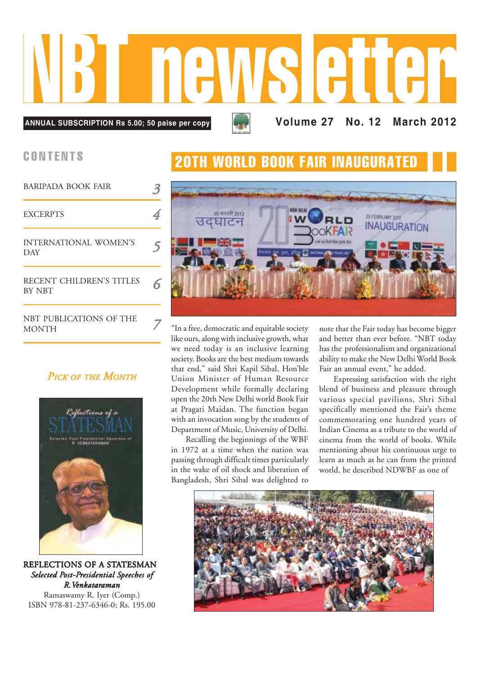**Volume 27 No. 12 March 2012 ANNUAL SUBSCRIPTION Rs 5.00; 50 paise per copy** NBT newsletter

MONTH

| <b>BARIPADA BOOK FAIR</b>                 |   |
|-------------------------------------------|---|
| <b>EXCERPTS</b>                           |   |
| INTERNATIONAL WOMEN'S<br><b>DAY</b>       | 5 |
| RECENT CHILDREN'S TITLES<br><b>BY NBT</b> |   |
| NBT PUBLICATIONS OF THE<br>MONTH          |   |

## *PICK OF THE MONTH*



REFLECTIONS OF A STATESMAN *Selected Post-Presidential Speeches of peeches of R.Venkatar enkataraman*

Ramaswamy R. Iyer (Comp.) ISBN 978-81-237-6346-0; Rs. 195.00

# CONTENTS 20TH WORLD BOOK FAIR INAUGURATED



"In a free, democratic and equitable society like ours, along with inclusive growth, what we need today is an inclusive learning society. Books are the best medium towards that end," said Shri Kapil Sibal, Hon'ble Union Minister of Human Resource Development while formally declaring open the 20th New Delhi world Book Fair at Pragati Maidan. The function began with an invocation song by the students of Department of Music, University of Delhi.

Recalling the beginnings of the WBF in 1972 at a time when the nation was passing through difficult times particularly in the wake of oil shock and liberation of Bangladesh, Shri Sibal was delighted to

note that the Fair today has become bigger and better than ever before. "NBT today has the professionalism and organizational ability to make the New Delhi World Book Fair an annual event," he added.

Expressing satisfaction with the right blend of business and pleasure through various special pavilions, Shri Sibal specifically mentioned the Fair's theme commemorating one hundred years of Indian Cinema as a tribute to the world of cinema from the world of books. While mentioning about his continuous urge to learn as much as he can from the printed world, he described NDWBF as one of

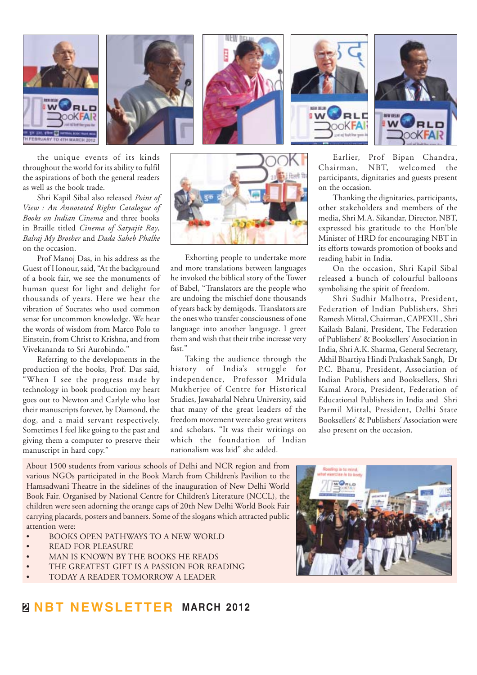

the unique events of its kinds throughout the world for its ability to fulfil the aspirations of both the general readers as well as the book trade.

Shri Kapil Sibal also released *Point of View : An Annotated Rights Catalogue of Books on Indian Cinema* and three books in Braille titled *Cinema of Satyajit Ray*, *Balraj My Brother* and *Dada Saheb Phalke* on the occasion.

Prof Manoj Das, in his address as the Guest of Honour, said, "At the background of a book fair, we see the monuments of human quest for light and delight for thousands of years. Here we hear the vibration of Socrates who used common sense for uncommon knowledge. We hear the words of wisdom from Marco Polo to Einstein, from Christ to Krishna, and from Vivekananda to Sri Aurobindo."

Referring to the developments in the production of the books, Prof. Das said, "When I see the progress made by technology in book production my heart goes out to Newton and Carlyle who lost their manuscripts forever, by Diamond, the dog, and a maid servant respectively. Sometimes I feel like going to the past and giving them a computer to preserve their manuscript in hard copy."



Exhorting people to undertake more and more translations between languages he invoked the biblical story of the Tower of Babel, "Translators are the people who are undoing the mischief done thousands of years back by demigods. Translators are the ones who transfer consciousness of one language into another language. I greet them and wish that their tribe increase very fast."

Taking the audience through the history of India's struggle for independence, Professor Mridula Mukherjee of Centre for Historical Studies, Jawaharlal Nehru University, said that many of the great leaders of the freedom movement were also great writers and scholars. "It was their writings on which the foundation of Indian nationalism was laid" she added.

Earlier, Prof Bipan Chandra, Chairman, NBT, welcomed the participants, dignitaries and guests present on the occasion.

Thanking the dignitaries, participants, other stakeholders and members of the media, Shri M.A. Sikandar, Director, NBT, expressed his gratitude to the Hon'ble Minister of HRD for encouraging NBT in its efforts towards promotion of books and reading habit in India.

On the occasion, Shri Kapil Sibal released a bunch of colourful balloons symbolising the spirit of freedom.

Shri Sudhir Malhotra, President, Federation of Indian Publishers, Shri Ramesh Mittal, Chairman, CAPEXIL, Shri Kailash Balani, President, The Federation of Publishers' & Booksellers' Association in India, Shri A.K. Sharma, General Secretary, Akhil Bhartiya Hindi Prakashak Sangh, Dr P.C. Bhanu, President, Association of Indian Publishers and Booksellers, Shri Kamal Arora, President, Federation of Educational Publishers in India and Shri Parmil Mittal, President, Delhi State Booksellers' & Publishers' Association were also present on the occasion.

About 1500 students from various schools of Delhi and NCR region and from various NGOs participated in the Book March from Children's Pavilion to the Hamsadwani Theatre in the sidelines of the inauguration of New Delhi World Book Fair. Organised by National Centre for Children's Literature (NCCL), the children were seen adorning the orange caps of 20th New Delhi World Book Fair carrying placards, posters and banners. Some of the slogans which attracted public attention were:

- BOOKS OPEN PATHWAYS TO A NEW WORLD
- READ FOR PLEASURE
- MAN IS KNOWN BY THE BOOKS HE READS
- THE GREATEST GIFT IS A PASSION FOR READING
- TODAY A READER TOMORROW A LEADER



# **2 NBT NEWSLETTER MARCH 2012**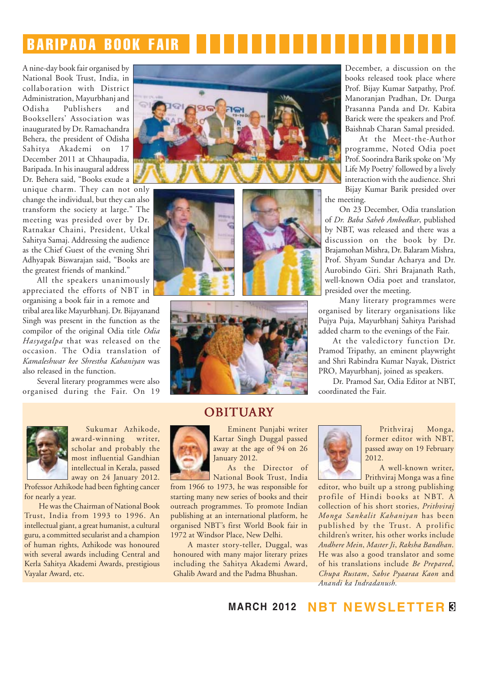# BARIPADA BOOK FAIR

A nine-day book fair organised by National Book Trust, India, in collaboration with District Administration, Mayurbhanj and Odisha Publishers and Booksellers' Association was inaugurated by Dr. Ramachandra Behera, the president of Odisha Sahitya Akademi on 17 December 2011 at Chhaupadia, Baripada. In his inaugural address Dr. Behera said, "Books exude a

unique charm. They can not only change the individual, but they can also transform the society at large." The meeting was presided over by Dr. Ratnakar Chaini, President, Utkal Sahitya Samaj. Addressing the audience as the Chief Guest of the evening Shri Adhyapak Biswarajan said, "Books are the greatest friends of mankind."

All the speakers unanimously appreciated the efforts of NBT in organising a book fair in a remote and tribal area like Mayurbhanj. Dr. Bijayanand Singh was present in the function as the compilor of the original Odia title *Odia Hasyagalpa* that was released on the occasion. The Odia translation of *Kamaleshwar kee Shrestha Kahaniyan* was also released in the function.

Several literary programmes were also organised during the Fair. On 19









Sukumar Azhikode, award-winning writer, scholar and probably the most influential Gandhian

intellectual in Kerala, passed away on 24 January 2012. Professor Azhikode had been fighting cancer

for nearly a year. He was the Chairman of National Book Trust, India from 1993 to 1996. An intellectual giant, a great humanist, a cultural guru, a committed secularist and a champion of human rights, Azhikode was honoured with several awards including Central and Kerla Sahitya Akademi Awards, prestigious Vayalar Award, etc.

### OBITUARY



Eminent Punjabi writer Kartar Singh Duggal passed away at the age of 94 on 26 January 2012.

As the Director of National Book Trust, India

from 1966 to 1973, he was responsible for starting many new series of books and their outreach programmes. To promote Indian publishing at an international platform, he organised NBT's first World Book fair in 1972 at Windsor Place, New Delhi.

A master story-teller, Duggal, was honoured with many major literary prizes including the Sahitya Akademi Award, Ghalib Award and the Padma Bhushan.

December, a discussion on the books released took place where Prof. Bijay Kumar Satpathy, Prof. Manoranjan Pradhan, Dr. Durga Prasanna Panda and Dr. Kabita Barick were the speakers and Prof. Baishnab Charan Samal presided.

At the Meet-the-Author programme, Noted Odia poet Prof. Soorindra Barik spoke on 'My Life My Poetry' followed by a lively interaction with the audience. Shri

Bijay Kumar Barik presided over the meeting.

On 23 December, Odia translation of *Dr. Baba Saheb Ambedkar*, published by NBT, was released and there was a discussion on the book by Dr. Brajamohan Mishra, Dr. Balaram Mishra, Prof. Shyam Sundar Acharya and Dr. Aurobindo Giri. Shri Brajanath Rath, well-known Odia poet and translator, presided over the meeting.

Many literary programmes were organised by literary organisations like Pujya Puja, Mayurbhanj Sahitya Parishad added charm to the evenings of the Fair.

At the valedictory function Dr. Pramod Tripathy, an eminent playwright and Shri Rabindra Kumar Nayak, District PRO, Mayurbhanj, joined as speakers.

Dr. Pramod Sar, Odia Editor at NBT, coordinated the Fair.



Prithviraj Monga, former editor with NBT, passed away on 19 February  $2012$ 

A well-known writer, Prithviraj Monga was a fine

editor, who built up a strong publishing profile of Hindi books at NBT. A collection of his short stories, *Prithviraj Monga Sankalit Kahaniyan* has been published by the Trust. A prolific children's writer, his other works include *Andhere Mein*, *Master Ji*, *Raksha Bandhan*. He was also a good translator and some of his translations include *Be Prepared*, *Chupa Rustam*, *Sabse Pyaaraa Kaon* and *Anandi ka Indradanush.*

**MARCH 2012 NBT NEWSLETTER 3**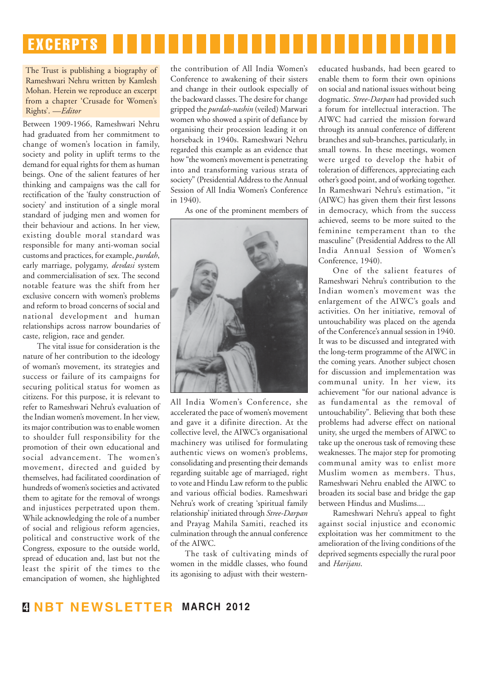

#### The Trust is publishing a biography of Rameshwari Nehru written by Kamlesh Mohan. Herein we reproduce an excerpt from a chapter 'Crusade for Women's Rights'. —*Editor*

Between 1909-1966, Rameshwari Nehru had graduated from her commitment to change of women's location in family, society and polity in uplift terms to the demand for equal rights for them as human beings. One of the salient features of her thinking and campaigns was the call for rectification of the 'faulty construction of society' and institution of a single moral standard of judging men and women for their behaviour and actions. In her view, existing double moral standard was responsible for many anti-woman social customs and practices, for example, *purdah*, early marriage, polygamy, *devdasi* system and commercialisation of sex. The second notable feature was the shift from her exclusive concern with women's problems and reform to broad concerns of social and national development and human relationships across narrow boundaries of caste, religion, race and gender.

The vital issue for consideration is the nature of her contribution to the ideology of woman's movement, its strategies and success or failure of its campaigns for securing political status for women as citizens. For this purpose, it is relevant to refer to Rameshwari Nehru's evaluation of the Indian women's movement. In her view, its major contribution was to enable women to shoulder full responsibility for the promotion of their own educational and social advancement. The women's movement, directed and guided by themselves, had facilitated coordination of hundreds of women's societies and activated them to agitate for the removal of wrongs and injustices perpetrated upon them. While acknowledging the role of a number of social and religious reform agencies, political and constructive work of the Congress, exposure to the outside world, spread of education and, last but not the least the spirit of the times to the emancipation of women, she highlighted

the contribution of All India Women's Conference to awakening of their sisters and change in their outlook especially of the backward classes. The desire for change gripped the *purdah-nashin* (veiled) Marwari women who showed a spirit of defiance by organising their procession leading it on horseback in 1940s. Rameshwari Nehru regarded this example as an evidence that how "the women's movement is penetrating into and transforming various strata of society" (Presidential Address to the Annual Session of All India Women's Conference in  $1940$ .

As one of the prominent members of



All India Women's Conference, she accelerated the pace of women's movement and gave it a difinite direction. At the collective level, the AIWC's organisational machinery was utilised for formulating authentic views on women's problems, consolidating and presenting their demands regarding suitable age of marriaged, right to vote and Hindu Law reform to the public and various official bodies. Rameshwari Nehru's work of creating 'spiritual family relationship' initiated through *Stree-Darpan* and Prayag Mahila Samiti, reached its culmination through the annual conference of the AIWC.

The task of cultivating minds of women in the middle classes, who found its agonising to adjust with their westerneducated husbands, had been geared to enable them to form their own opinions on social and national issues without being dogmatic. *Stree-Darpan* had provided such a forum for intellectual interaction. The AIWC had carried the mission forward through its annual conference of different branches and sub-branches, particularly, in small towns. In these meetings, women were urged to develop the habit of toleration of differences, appreciating each other's good point, and of working together. In Rameshwari Nehru's estimation, "it (AIWC) has given them their first lessons in democracy, which from the success achieved, seems to be more suited to the feminine temperament than to the masculine" (Presidential Address to the All India Annual Session of Women's Conference, 1940).

One of the salient features of Rameshwari Nehru's contribution to the Indian women's movement was the enlargement of the AIWC's goals and activities. On her initiative, removal of untouchability was placed on the agenda of the Conference's annual session in 1940. It was to be discussed and integrated with the long-term programme of the AIWC in the coming years. Another subject chosen for discussion and implementation was communal unity. In her view, its achievement "for our national advance is as fundamental as the removal of untouchability". Believing that both these problems had adverse effect on national unity, she urged the members of AIWC to take up the onerous task of removing these weaknesses. The major step for promoting communal amity was to enlist more Muslim women as members. Thus, Rameshwari Nehru enabled the AIWC to broaden its social base and bridge the gap between Hindus and Muslims....

Rameshwari Nehru's appeal to fight against social injustice and economic exploitation was her commitment to the amelioration of the living conditions of the deprived segments especially the rural poor and *Harijans*.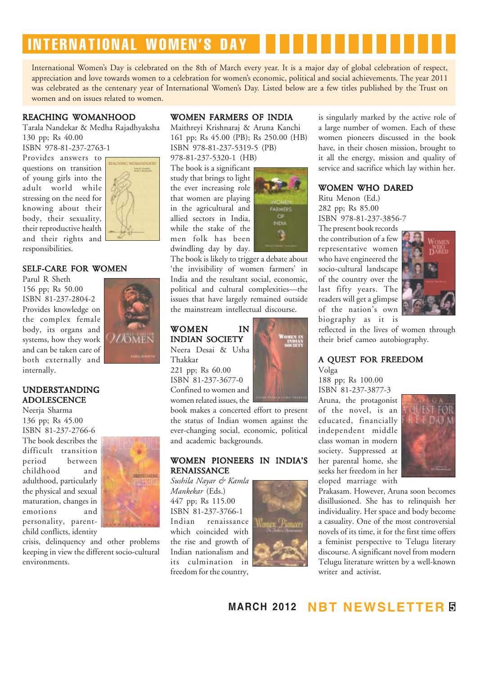# INTERNATIONAL WOMEN'S DAY

International Women's Day is celebrated on the 8th of March every year. It is a major day of global celebration of respect, appreciation and love towards women to a celebration for women's economic, political and social achievements. The year 2011 was celebrated as the centenary year of International Women's Day. Listed below are a few titles published by the Trust on women and on issues related to women.

#### REACHING WOMANHOOD

Tarala Nandekar & Medha Rajadhyaksha 130 pp; Rs 40.00

ISBN 978-81-237-2763-1

Provides answers to questions on transition of young girls into the adult world while stressing on the need for knowing about their body, their sexuality, their reproductive health and their rights and responsibilities.



#### SELF-CARE FOR WOMEN

Parul R Sheth 156 pp; Rs 50.00 ISBN 81-237-2804-2 Provides knowledge on the complex female body, its organs and systems, how they work and can be taken care of both externally and internally.

#### UNDERSTANDING ADOLESCENCE

Neerja Sharma 136 pp; Rs 45.00 ISBN 81-237-2766-6 The book describes the difficult transition<br>period between period childhood and adulthood, particularly the physical and sexual maturation, changes in emotions and personality, parentchild conflicts, identity



crisis, delinquency and other problems keeping in view the different socio-cultural environments.

#### WOMEN FARMERS OF INDIA

Maithreyi Krishnaraj & Aruna Kanchi 161 pp; Rs 45.00 (PB); Rs 250.00 (HB) ISBN 978-81-237-5319-5 (PB)

978-81-237-5320-1 (HB) The book is a significant study that brings to light the ever increasing role that women are playing in the agricultural and allied sectors in India, while the stake of the men folk has been dwindling day by day.



The book is likely to trigger a debate about 'the invisibility of women farmers' in India and the resultant social, economic, political and cultural complexities—the issues that have largely remained outside the mainstream intellectual discourse.

### WOMEN IN INDIAN SOCIETY

Neera Desai & Usha Thakkar 221 pp; Rs 60.00 ISBN 81-237-3677-0 Confined to women and women related issues, the

book makes a concerted effort to present the status of Indian women against the ever-changing social, economic, political and academic backgrounds.

#### WOMEN PIONEERS IN INDIA'S **RENAISSANCE**

*Sushila Nayar & Kamla Mankekar* (Eds.) 447 pp; Rs 115.00 ISBN 81-237-3766-1 renaissance which coincided with the rise and growth of Indian nationalism and its culmination in freedom for the country,



is singularly marked by the active role of a large number of women. Each of these women pioneers discussed in the book have, in their chosen mission, brought to it all the energy, mission and quality of service and sacrifice which lay within her.

#### WOMEN WHO DARED

Ritu Menon (Ed.) 282 pp; Rs 85.00 ISBN 978-81-237-3856-7

The present book records the contribution of a few representative women who have engineered the socio-cultural landscape of the country over the last fifty years. The readers will get a glimpse of the nation's own biography as it is



reflected in the lives of women through their brief cameo autobiography.

#### A QUEST FOR FREEDOM

Volga

188 pp; Rs 100.00 ISBN 81-237-3877-3 Aruna, the protagonist of the novel, is an educated, financially independent middle class woman in modern society. Suppressed at her parental home, she seeks her freedom in her eloped marriage with



Prakasam. However, Aruna soon becomes disillusioned. She has to relinquish her individuality. Her space and body become a casuality. One of the most controversial novels of its time, it for the first time offers a feminist perspective to Telugu literary discourse. A significant novel from modern Telugu literature written by a well-known writer and activist.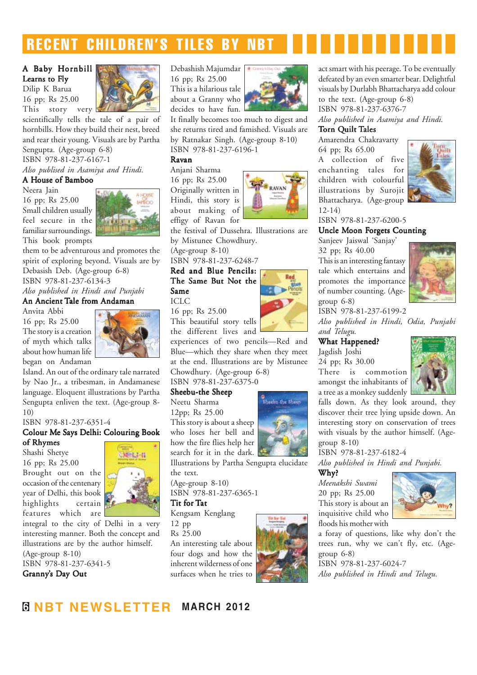# RECENT CHILDREN'S TILES BY NBT

### A Baby Hornbill

Learns to Fly Dilip K Barua 16 pp; Rs 25.00 This story very



scientifically tells the tale of a pair of hornbills. How they build their nest, breed and rear their young. Visuals are by Partha Sengupta. (Age-group 6-8) ISBN 978-81-237-6167-1

*Also publised in Asamiya and Hindi.*

#### A House of Bamboo

Neera Jain 16 pp; Rs 25.00 Small children usually feel secure in the familiar surroundings. This book prompts



them to be adventurous and promotes the spirit of exploring beyond. Visuals are by Debasish Deb. (Age-group 6-8) ISBN 978-81-237-6134-3 *Also published in Hindi and Punjabi*

#### An Ancient Tale from Andaman

Anvita Abbi 16 pp; Rs 25.00 The story is a creation of myth which talks about how human life began on Andaman



Island. An out of the ordinary tale narrated by Nao Jr., a tribesman, in Andamanese language. Eloquent illustrations by Partha Sengupta enliven the text. (Age-group 8- 10)

ISBN 978-81-237-6351-4

#### Colour Me Says Delhi: Colouring Book

of Rhymes Shashi Shetye 16 pp; Rs 25.00 Brought out on the occasion of the centenary year of Delhi, this book highlights certain features which are



integral to the city of Delhi in a very interesting manner. Both the concept and illustrations are by the author himself. (Age-group 8-10)

ISBN 978-81-237-6341-5 Granny's Day Out

#### Debashish Majumdar 16 pp; Rs 25.00 This is a hilarious tale about a Granny who decides to have fun.



It finally becomes too much to digest and she returns tired and famished. Visuals are by Ratnakar Singh. (Age-group 8-10) ISBN 978-81-237-6196-1

#### Ravan

Anjani Sharma 16 pp; Rs 25.00 Originally written in Hindi, this story is about making of effigy of Ravan for



the festival of Dussehra. Illustrations are by Mistunee Chowdhury.

(Age-group 8-10)

ISBN 978-81-237-6248-7

#### Red and Blue Pencils: The Same But Not the Same ICLC

16 pp; Rs 25.00

This beautiful story tells the different lives and

experiences of two pencils—Red and Blue—which they share when they meet at the end. Illustrations are by Mistunee Chowdhury. (Age-group 6-8)

ISBN 978-81-237-6375-0

#### Sheebu-the Sheep

Neetu Sharma 12pp; Rs 25.00 This story is about a sheep who loses her bell and how the fire flies help her search for it in the dark.

Illustrations by Partha Sengupta elucidate the text.

(Age-group 8-10) ISBN 978-81-237-6365-1

#### Tit for Tat

Kengsam Kenglang

12 pp Rs 25.00

An interesting tale about four dogs and how the inherent wilderness of one surfaces when he tries to



act smart with his peerage. To be eventually defeated by an even smarter bear. Delightful visuals by Durlabh Bhattacharya add colour to the text. (Age-group 6-8) ISBN 978-81-237-6376-7 *Also published in Asamiya and Hindi.*

### Torn Quilt Tales

Amarendra Chakravarty 64 pp; Rs 65.00 A collection of five enchanting tales for children with colourful illustrations by Surojit Bhattacharya. (Age-group 12-14)



ISBN 978-81-237-6200-5

#### Uncle Moon Forgets Counting

Sanjeev Jaiswal 'Sanjay' 32 pp; Rs 40.00 This is an interesting fantasy

tale which entertains and promotes the importance of number counting. (Agegroup 6-8)



ISBN 978-81-237-6199-2 *Also published in Hindi, Odia, Punjabi and Telugu.*

# What Happened?

Jagdish Joshi 24 pp; Rs 30.00 There is commotion amongst the inhabitants of a tree as a monkey suddenly



falls down. As they look around, they discover their tree lying upside down. An interesting story on conservation of trees with visuals by the author himself. (Agegroup 8-10)

ISBN 978-81-237-6182-4 *Also published in Hindi and Punjabi.*

Why? *Meenakshi Swami* 20 pp; Rs 25.00 This story is about an inquisitive child who floods his mother with



a foray of questions, like why don't the trees run, why we can't fly, etc. (Agegroup 6-8)

ISBN 978-81-237-6024-7 *Also published in Hindi and Telugu.*

# **6 NBT NEWSLETTER MARCH 2012**





Sheehu the Sheep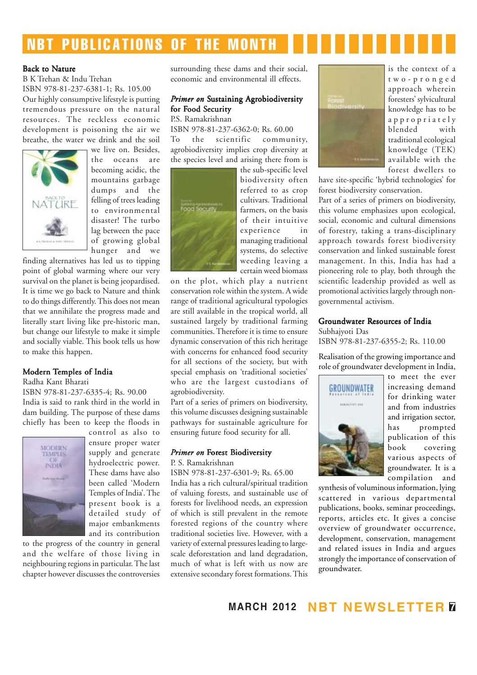# NBT PUBLICATIONS OF THE MONTH

#### Back to Nature

B K Trehan & Indu Trehan ISBN 978-81-237-6381-1; Rs. 105.00 Our highly consumptive lifestyle is putting tremendous pressure on the natural resources. The reckless economic development is poisoning the air we breathe, the water we drink and the soil



we live on Besides the oceans are becoming acidic, the mountains garbage dumps and the felling of trees leading to environmental disaster! The turbo lag between the pace of growing global hunger and we

finding alternatives has led us to tipping point of global warming where our very survival on the planet is being jeopardised. It is time we go back to Nature and think to do things differently. This does not mean that we annihilate the progress made and literally start living like pre-historic man, but change our lifestyle to make it simple and socially viable. This book tells us how to make this happen.

#### Modern Temples of India

Radha Kant Bharati

ISBN 978-81-237-6335-4; Rs. 90.00 India is said to rank third in the world in dam building. The purpose of these dams chiefly has been to keep the floods in



control as also to ensure proper water supply and generate hydroelectric power. These dams have also been called 'Modern Temples of India'. The present book is a detailed study of major embankments and its contribution

to the progress of the country in general and the welfare of those living in neighbouring regions in particular. The last chapter however discusses the controversies surrounding these dams and their social, economic and environmental ill effects.

#### **Primer on Sustaining Agrobiodiversity** for Food Security

P.S. Ramakrishnan ISBN 978-81-237-6362-0; Rs. 60.00 To the scientific community, agrobiodiversity implies crop diversity at the species level and arising there from is



the sub-specific level biodiversity often referred to as crop cultivars. Traditional farmers, on the basis of their intuitive experience in managing traditional systems, do selective weeding leaving a certain weed biomass

on the plot, which play a nutrient conservation role within the system. A wide range of traditional agricultural typologies are still available in the tropical world, all sustained largely by traditional farming communities. Therefore it is time to ensure dynamic conservation of this rich heritage with concerns for enhanced food security for all sections of the society, but with special emphasis on 'traditional societies' who are the largest custodians of agrobiodiversity.

Part of a series of primers on biodiversity, this volume discusses designing sustainable pathways for sustainable agriculture for ensuring future food security for all.

#### *Primer on* Forest Biodiversity

P. S. Ramakrishnan

ISBN 978-81-237-6301-9; Rs. 65.00

India has a rich cultural/spiritual tradition of valuing forests, and sustainable use of forests for livelihood needs, an expression of which is still prevalent in the remote forested regions of the country where traditional societies live. However, with a variety of external pressures leading to largescale deforestation and land degradation, much of what is left with us now are extensive secondary forest formations. This



is the context of a two-pronged approach wherein foresters' sylvicultural knowledge has to be appropriately blended with traditional ecological knowledge (TEK) available with the forest dwellers to

have site-specific 'hybrid technologies' for forest biodiversity conservation.

Part of a series of primers on biodiversity, this volume emphasizes upon ecological, social, economic and cultural dimensions of forestry, taking a trans-disciplinary approach towards forest biodiversity conservation and linked sustainable forest management. In this, India has had a pioneering role to play, both through the scientific leadership provided as well as promotional activities largely through nongovernmental activism.

#### Groundwater Resources of India

Subhajyoti Das ISBN 978-81-237-6355-2; Rs. 110.00

Realisation of the growing importance and role of groundwater development in India,



to meet the ever increasing demand for drinking water and from industries and irrigation sector, has prompted publication of this book covering various aspects of groundwater. It is a compilation and

synthesis of voluminous information, lying scattered in various departmental publications, books, seminar proceedings, reports, articles etc. It gives a concise overview of groundwater occurrence, development, conservation, management and related issues in India and argues strongly the importance of conservation of groundwater.